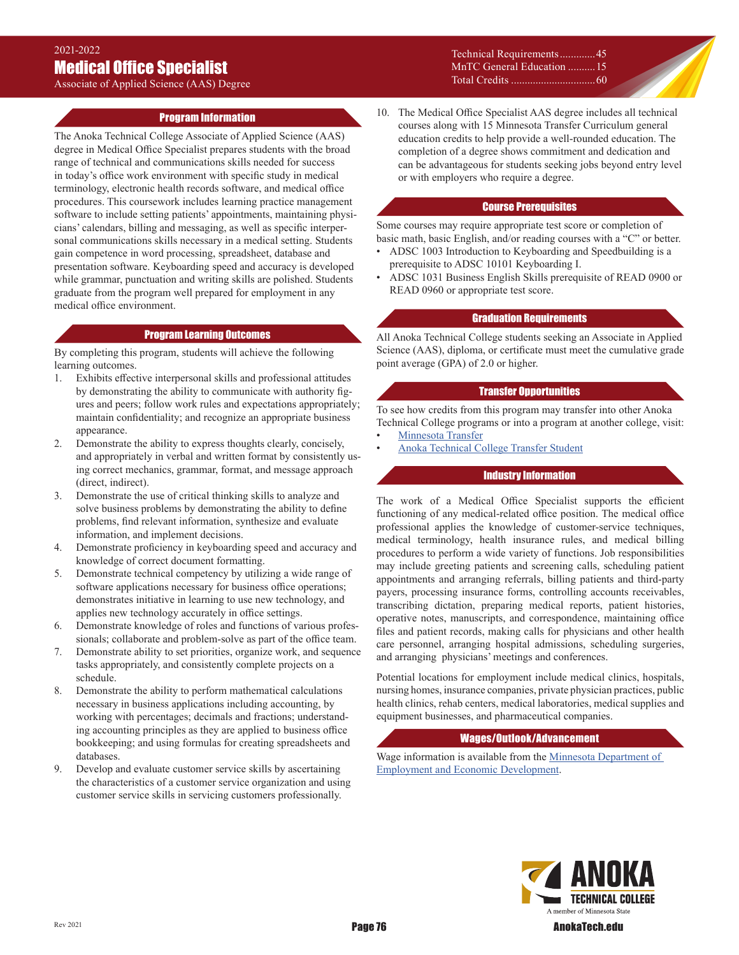Associate of Applied Science (AAS) Degree

#### Technical Requirements.............45 MnTC General Education ..........15 Total Credits ...............................60

# Program Information

The Anoka Technical College Associate of Applied Science (AAS) degree in Medical Office Specialist prepares students with the broad range of technical and communications skills needed for success in today's office work environment with specific study in medical terminology, electronic health records software, and medical office procedures. This coursework includes learning practice management software to include setting patients' appointments, maintaining physicians' calendars, billing and messaging, as well as specific interpersonal communications skills necessary in a medical setting. Students gain competence in word processing, spreadsheet, database and presentation software. Keyboarding speed and accuracy is developed while grammar, punctuation and writing skills are polished. Students graduate from the program well prepared for employment in any medical office environment.

#### Program Learning Outcomes

By completing this program, students will achieve the following learning outcomes.

- 1. Exhibits effective interpersonal skills and professional attitudes by demonstrating the ability to communicate with authority figures and peers; follow work rules and expectations appropriately; maintain confidentiality; and recognize an appropriate business appearance.
- 2. Demonstrate the ability to express thoughts clearly, concisely, and appropriately in verbal and written format by consistently using correct mechanics, grammar, format, and message approach (direct, indirect).
- 3. Demonstrate the use of critical thinking skills to analyze and solve business problems by demonstrating the ability to define problems, find relevant information, synthesize and evaluate information, and implement decisions.
- 4. Demonstrate proficiency in keyboarding speed and accuracy and knowledge of correct document formatting.
- 5. Demonstrate technical competency by utilizing a wide range of software applications necessary for business office operations; demonstrates initiative in learning to use new technology, and applies new technology accurately in office settings.
- 6. Demonstrate knowledge of roles and functions of various professionals; collaborate and problem-solve as part of the office team.
- 7. Demonstrate ability to set priorities, organize work, and sequence tasks appropriately, and consistently complete projects on a schedule.
- 8. Demonstrate the ability to perform mathematical calculations necessary in business applications including accounting, by working with percentages; decimals and fractions; understanding accounting principles as they are applied to business office bookkeeping; and using formulas for creating spreadsheets and databases.
- 9. Develop and evaluate customer service skills by ascertaining the characteristics of a customer service organization and using customer service skills in servicing customers professionally.

10. The Medical Office Specialist AAS degree includes all technical courses along with 15 Minnesota Transfer Curriculum general education credits to help provide a well-rounded education. The completion of a degree shows commitment and dedication and can be advantageous for students seeking jobs beyond entry level or with employers who require a degree.

#### Course Prerequisites

Some courses may require appropriate test score or completion of basic math, basic English, and/or reading courses with a "C" or better.

- ADSC 1003 Introduction to Keyboarding and Speedbuilding is a prerequisite to ADSC 10101 Keyboarding I.
- ADSC 1031 Business English Skills prerequisite of READ 0900 or READ 0960 or appropriate test score.

### Graduation Requirements

All Anoka Technical College students seeking an Associate in Applied Science (AAS), diploma, or certificate must meet the cumulative grade point average (GPA) of 2.0 or higher.

#### Transfer Opportunities

To see how credits from this program may transfer into other Anoka Technical College programs or into a program at another college, visit: **[Minnesota Transfer](http://www.mntransfer.org/students/plan/s_agreements.php?numResults=25&archive=false&from_inst=70&from_prog=&to_inst=&Search=Search)** 

• [Anoka Technical College Transfer Student](http://www.anokatech.edu/BecomeStudent/Transfers.aspx)

# Industry Information

The work of a Medical Office Specialist supports the efficient functioning of any medical-related office position. The medical office professional applies the knowledge of customer-service techniques, medical terminology, health insurance rules, and medical billing procedures to perform a wide variety of functions. Job responsibilities may include greeting patients and screening calls, scheduling patient appointments and arranging referrals, billing patients and third-party payers, processing insurance forms, controlling accounts receivables, transcribing dictation, preparing medical reports, patient histories, operative notes, manuscripts, and correspondence, maintaining office files and patient records, making calls for physicians and other health care personnel, arranging hospital admissions, scheduling surgeries, and arranging physicians' meetings and conferences.

Potential locations for employment include medical clinics, hospitals, nursing homes, insurance companies, private physician practices, public health clinics, rehab centers, medical laboratories, medical supplies and equipment businesses, and pharmaceutical companies.

## Wages/Outlook/Advancement

Wage information is available from the Minnesota Department of [Employment and Economic Development](https://mn.gov/deed/job-seekers/job-outlook/).